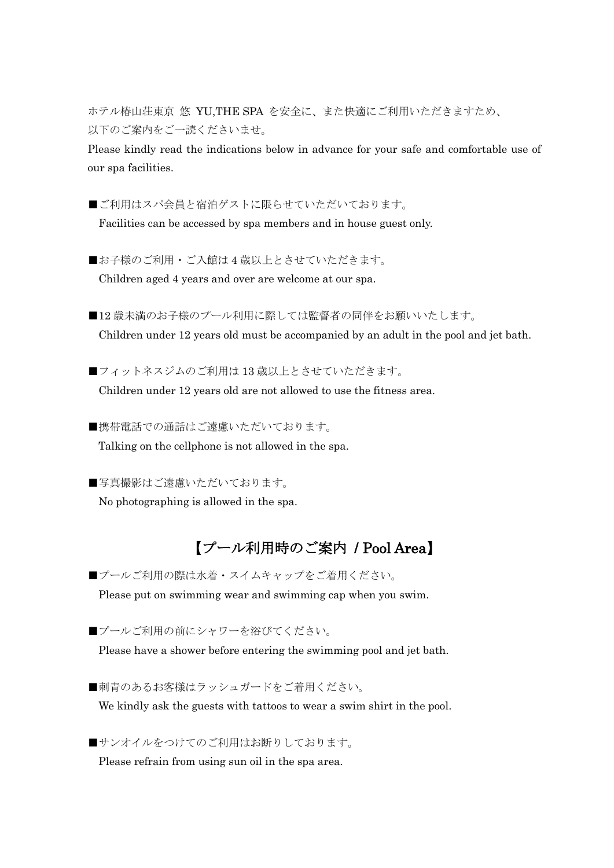ホテル椿山荘東京 悠 YU,THE SPA を安全に、また快適にご利用いただきますため、 以下のご案内をご一読くださいませ。

Please kindly read the indications below in advance for your safe and comfortable use of our spa facilities.

■ご利用はスパ会員と宿泊ゲストに限らせていただいております。 Facilities can be accessed by spa members and in house guest only.

■お子様のご利用·ご入館は4歳以上とさせていただきます。 Children aged 4 years and over are welcome at our spa.

■12 歳未満のお子様のプール利用に際しては監督者の同伴をお願いいたします。 Children under 12 years old must be accompanied by an adult in the pool and jet bath.

■フィットネスジムのご利用は13歳以上とさせていただきます。 Children under 12 years old are not allowed to use the fitness area.

■携帯電話での通話はご遠慮いただいております。 Talking on the cellphone is not allowed in the spa.

■写真撮影はご遠慮いただいております。 No photographing is allowed in the spa.

## 【プール利用時のご案内 / Pool Area】

■プールご利用の際は水着・スイムキャップをご着用ください。 Please put on swimming wear and swimming cap when you swim.

■プールご利用の前にシャワーを浴びてください。

Please have a shower before entering the swimming pool and jet bath.

■刺青のあるお客様はラッシュガードをご着用ください。 We kindly ask the guests with tattoos to wear a swim shirt in the pool.

■サンオイルをつけてのご利用はお断りしております。 Please refrain from using sun oil in the spa area.